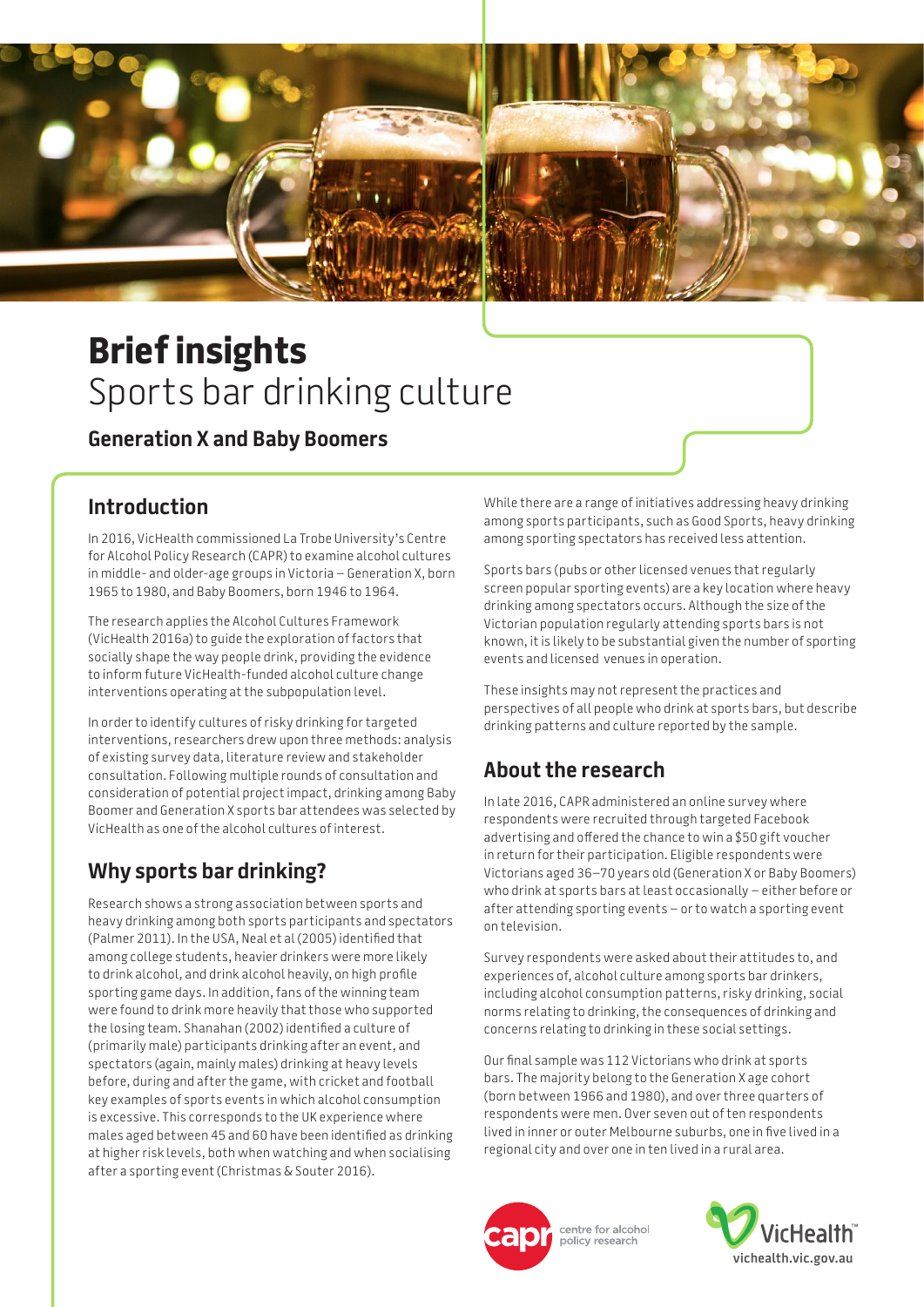

# **Brief insights**  Sports bar drinking culture

### **Generation X and Baby Boomers**

### **Introduction**

In 2016, VicHealth commissioned La Trobe University's Centre for Alcohol Policy Research (CAPR) to examine alcohol cultures in middle- and older-age groups in Victoria – Generation X, born 1965 to 1980, and Baby Boomers, born 1946 to 1964.

The research applies the Alcohol Cultures Framework (VicHealth 2016a) to guide the exploration of factors that socially shape the way people drink, providing the evidence to inform future VicHealth-funded alcohol culture change interventions operating at the subpopulation level.

In order to identify cultures of risky drinking for targeted interventions, researchers drew upon three methods: analysis of existing survey data, literature review and stakeholder consultation. Following multiple rounds of consultation and consideration of potential project impact, drinking among Baby Boomer and Generation X sports bar attendees was selected by VicHealth as one of the alcohol cultures of interest.

## **Why sports bar drinking?**

Research shows a strong association between sports and heavy drinking among both sports participants and spectators (Palmer 2011). In the USA, Neal et al (2005) identified that among college students, heavier drinkers were more likely to drink alcohol, and drink alcohol heavily, on high profile sporting game days. In addition, fans of the winning team were found to drink more heavily that those who supported the losing team. Shanahan (2002) identified a culture of (primarily male) participants drinking after an event, and spectators (again, mainly males) drinking at heavy levels before, during and after the game, with cricket and football key examples of sports events in which alcohol consumption is excessive. This corresponds to the UK experience where males aged between 45 and 60 have been identified as drinking at higher risk levels, both when watching and when socialising after a sporting event (Christmas & Souter 2016).

While there are a range of initiatives addressing heavy drinking among sports participants, such as Good Sports, heavy drinking among sporting spectators has received less attention.

Sports bars (pubs or other licensed venues that regularly screen popular sporting events) are a key location where heavy drinking among spectators occurs. Although the size of the Victorian population regularly attending sports bars is not known, it is likely to be substantial given the number of sporting events and licensed venues in operation.

These insights may not represent the practices and perspectives of all people who drink at sports bars, but describe drinking patterns and culture reported by the sample.

# **About the research**

In late 2016, CAPR administered an online survey where respondents were recruited through targeted Facebook advertising and offered the chance to win a \$50 gift voucher in return for their participation. Eligible respondents were Victorians aged 36–70 years old (Generation X or Baby Boomers) who drink at sports bars at least occasionally – either before or after attending sporting events – or to watch a sporting event on television.

Survey respondents were asked about their attitudes to, and experiences of, alcohol culture among sports bar drinkers, including alcohol consumption patterns, risky drinking, social norms relating to drinking, the consequences of drinking and concerns relating to drinking in these social settings.

Our final sample was 112 Victorians who drink at sports bars. The majority belong to the Generation X age cohort (born between 1966 and 1980), and over three quarters of respondents were men. Over seven out of ten respondents lived in inner or outer Melbourne suburbs, one in five lived in a regional city and over one in ten lived in a rural area.



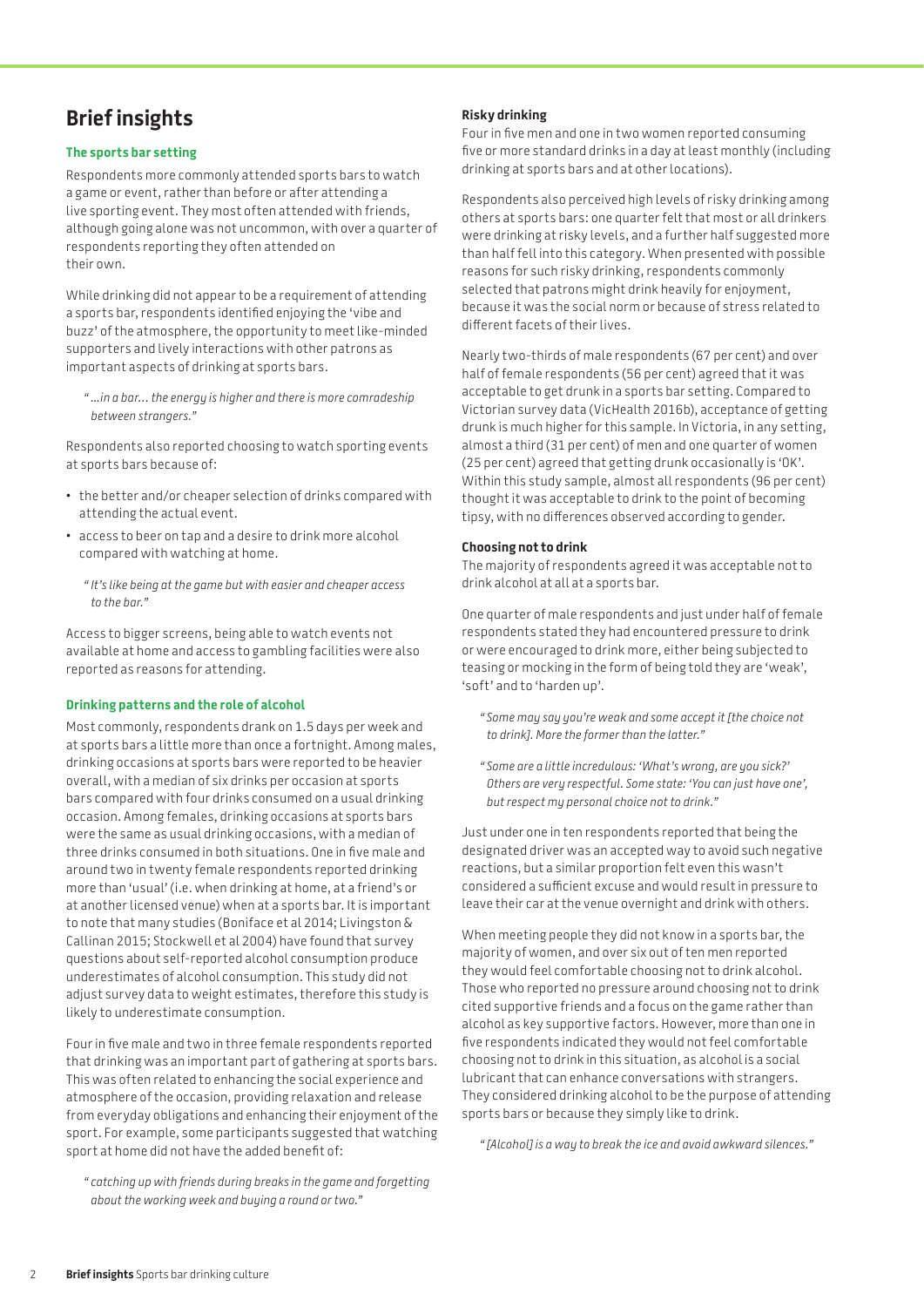# **Brief insights**

#### **The sports bar setting**

Respondents more commonly attended sports bars to watch a game or event, rather than before or after attending a live sporting event. They most often attended with friends, although going alone was not uncommon, with over a quarter of respondents reporting they often attended on their own.

While drinking did not appear to be a requirement of attending a sports bar, respondents identified enjoying the 'vibe and buzz' of the atmosphere, the opportunity to meet like-minded supporters and lively interactions with other patrons as important aspects of drinking at sports bars.

*" ...in a bar… the energy is higher and there is more comradeship between strangers."* 

Respondents also reported choosing to watch sporting events at sports bars because of:

- the better and/or cheaper selection of drinks compared with attending the actual event.
- • access to beer on tap and a desire to drink more alcohol compared with watching at home.
	- *" It's like being at the game but with easier and cheaper access to the bar."*

Access to bigger screens, being able to watch events not available at home and access to gambling facilities were also reported as reasons for attending.

#### **Drinking patterns and the role of alcohol**

Most commonly, respondents drank on 1.5 days per week and at sports bars a little more than once a fortnight. Among males, drinking occasions at sports bars were reported to be heavier overall, with a median of six drinks per occasion at sports bars compared with four drinks consumed on a usual drinking occasion. Among females, drinking occasions at sports bars were the same as usual drinking occasions, with a median of three drinks consumed in both situations. One in five male and around two in twenty female respondents reported drinking more than 'usual' (i.e. when drinking at home, at a friend's or at another licensed venue) when at a sports bar. It is important to note that many studies (Boniface et al 2014; Livingston & Callinan 2015; Stockwell et al 2004) have found that survey questions about self-reported alcohol consumption produce underestimates of alcohol consumption. This study did not adjust survey data to weight estimates, therefore this study is likely to underestimate consumption.

Four in five male and two in three female respondents reported that drinking was an important part of gathering at sports bars. This was often related to enhancing the social experience and atmosphere of the occasion, providing relaxation and release from everyday obligations and enhancing their enjoyment of the sport. For example, some participants suggested that watching sport at home did not have the added benefit of:

*" catching up with friends during breaks in the game and forgetting about the working week and buying a round or two."* 

#### **Risky drinking**

Four in five men and one in two women reported consuming five or more standard drinks in a day at least monthly (including drinking at sports bars and at other locations).

Respondents also perceived high levels of risky drinking among others at sports bars: one quarter felt that most or all drinkers were drinking at risky levels, and a further half suggested more than half fell into this category. When presented with possible reasons for such risky drinking, respondents commonly selected that patrons might drink heavily for enjoyment, because it was the social norm or because of stress related to different facets of their lives.

Nearly two-thirds of male respondents (67 per cent) and over half of female respondents (56 per cent) agreed that it was acceptable to get drunk in a sports bar setting. Compared to Victorian survey data (VicHealth 2016b), acceptance of getting drunk is much higher for this sample. In Victoria, in any setting, almost a third (31 per cent) of men and one quarter of women (25 per cent) agreed that getting drunk occasionally is 'OK'. Within this study sample, almost all respondents (96 per cent) thought it was acceptable to drink to the point of becoming tipsy, with no differences observed according to gender.

#### **Choosing not to drink**

The majority of respondents agreed it was acceptable not to drink alcohol at all at a sports bar.

One quarter of male respondents and just under half of female respondents stated they had encountered pressure to drink or were encouraged to drink more, either being subjected to teasing or mocking in the form of being told they are 'weak', 'soft' and to 'harden up'.

- *" Some may say you're weak and some accept it [the choice not to drink]. More the former than the latter."*
- *" Some are a little incredulous: 'What's wrong, are you sick?' Others are very respectful. Some state: 'You can just have one', but respect my personal choice not to drink."*

Just under one in ten respondents reported that being the designated driver was an accepted way to avoid such negative reactions, but a similar proportion felt even this wasn't considered a sufficient excuse and would result in pressure to leave their car at the venue overnight and drink with others.

When meeting people they did not know in a sports bar, the majority of women, and over six out of ten men reported they would feel comfortable choosing not to drink alcohol. Those who reported no pressure around choosing not to drink cited supportive friends and a focus on the game rather than alcohol as key supportive factors. However, more than one in five respondents indicated they would not feel comfortable choosing not to drink in this situation, as alcohol is a social lubricant that can enhance conversations with strangers. They considered drinking alcohol to be the purpose of attending sports bars or because they simply like to drink.

*" [Alcohol] is a way to break the ice and avoid awkward silences."*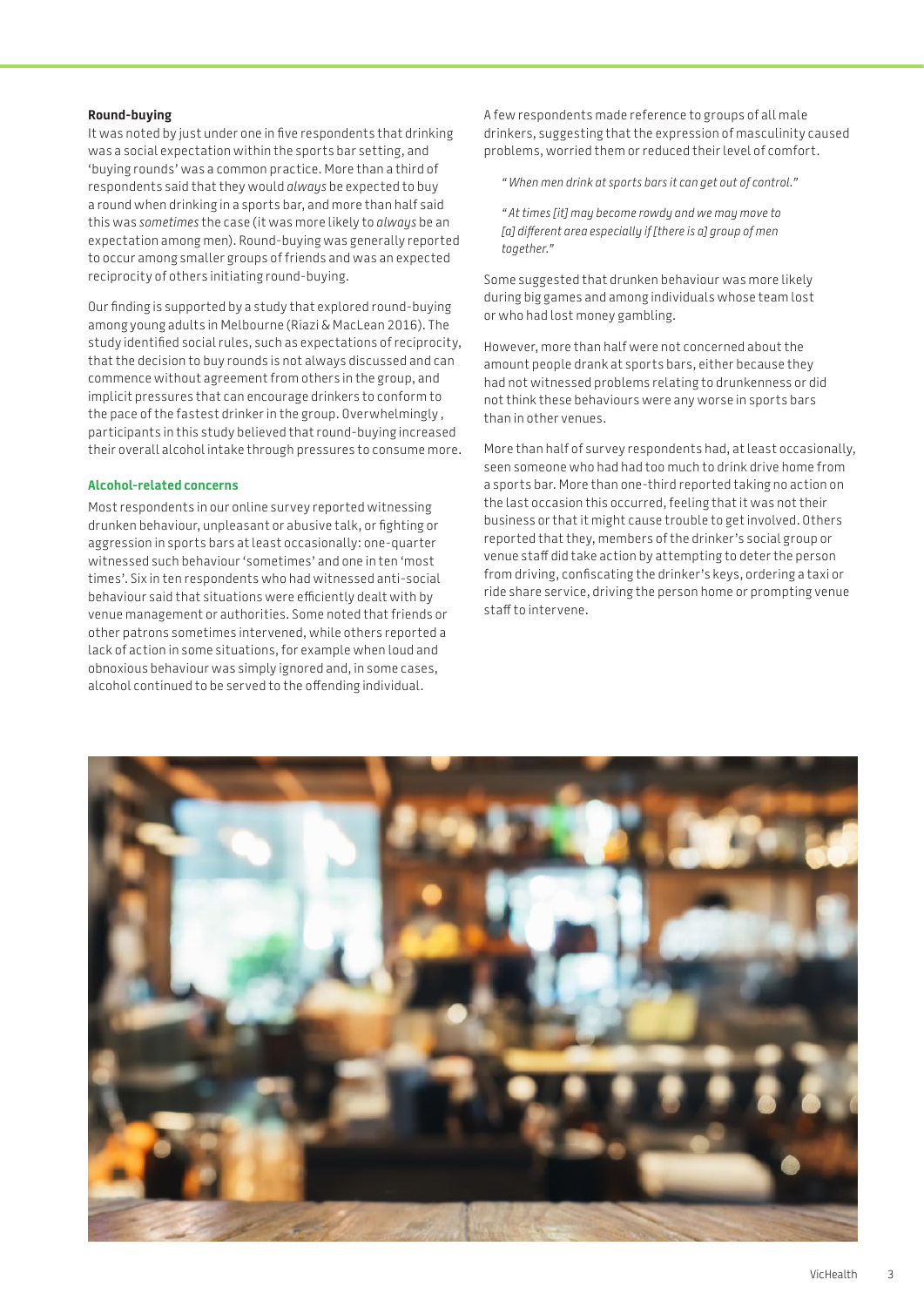#### **Round-buying**

It was noted by just under one in five respondents that drinking was a social expectation within the sports bar setting, and 'buying rounds' was a common practice. More than a third of respondents said that they would *always* be expected to buy a round when drinking in a sports bar, and more than half said this was *sometimes* the case (it was more likely to *always* be an expectation among men). Round-buying was generally reported to occur among smaller groups of friends and was an expected reciprocity of others initiating round-buying.

Our finding is supported by a study that explored round-buying among young adults in Melbourne (Riazi & MacLean 2016). The study identified social rules, such as expectations of reciprocity, that the decision to buy rounds is not always discussed and can commence without agreement from others in the group, and implicit pressures that can encourage drinkers to conform to the pace of the fastest drinker in the group. Overwhelmingly , participants in this study believed that round-buying increased their overall alcohol intake through pressures to consume more.

#### **Alcohol-related concerns**

Most respondents in our online survey reported witnessing drunken behaviour, unpleasant or abusive talk, or fighting or aggression in sports bars at least occasionally: one-quarter witnessed such behaviour 'sometimes' and one in ten 'most times'. Six in ten respondents who had witnessed anti-social behaviour said that situations were efficiently dealt with by venue management or authorities. Some noted that friends or other patrons sometimes intervened, while others reported a lack of action in some situations, for example when loud and obnoxious behaviour was simply ignored and, in some cases, alcohol continued to be served to the offending individual.

A few respondents made reference to groups of all male drinkers, suggesting that the expression of masculinity caused problems, worried them or reduced their level of comfort.

*" When men drink at sports bars it can get out of control."* 

*" At times [it] may become rowdy and we may move to [a] different area especially if [there is a] group of men together."* 

Some suggested that drunken behaviour was more likely during big games and among individuals whose team lost or who had lost money gambling.

However, more than half were not concerned about the amount people drank at sports bars, either because they had not witnessed problems relating to drunkenness or did not think these behaviours were any worse in sports bars than in other venues.

More than half of survey respondents had, at least occasionally, seen someone who had had too much to drink drive home from a sports bar. More than one-third reported taking no action on the last occasion this occurred, feeling that it was not their business or that it might cause trouble to get involved. Others reported that they, members of the drinker's social group or venue staff did take action by attempting to deter the person from driving, confiscating the drinker's keys, ordering a taxi or ride share service, driving the person home or prompting venue staff to intervene.

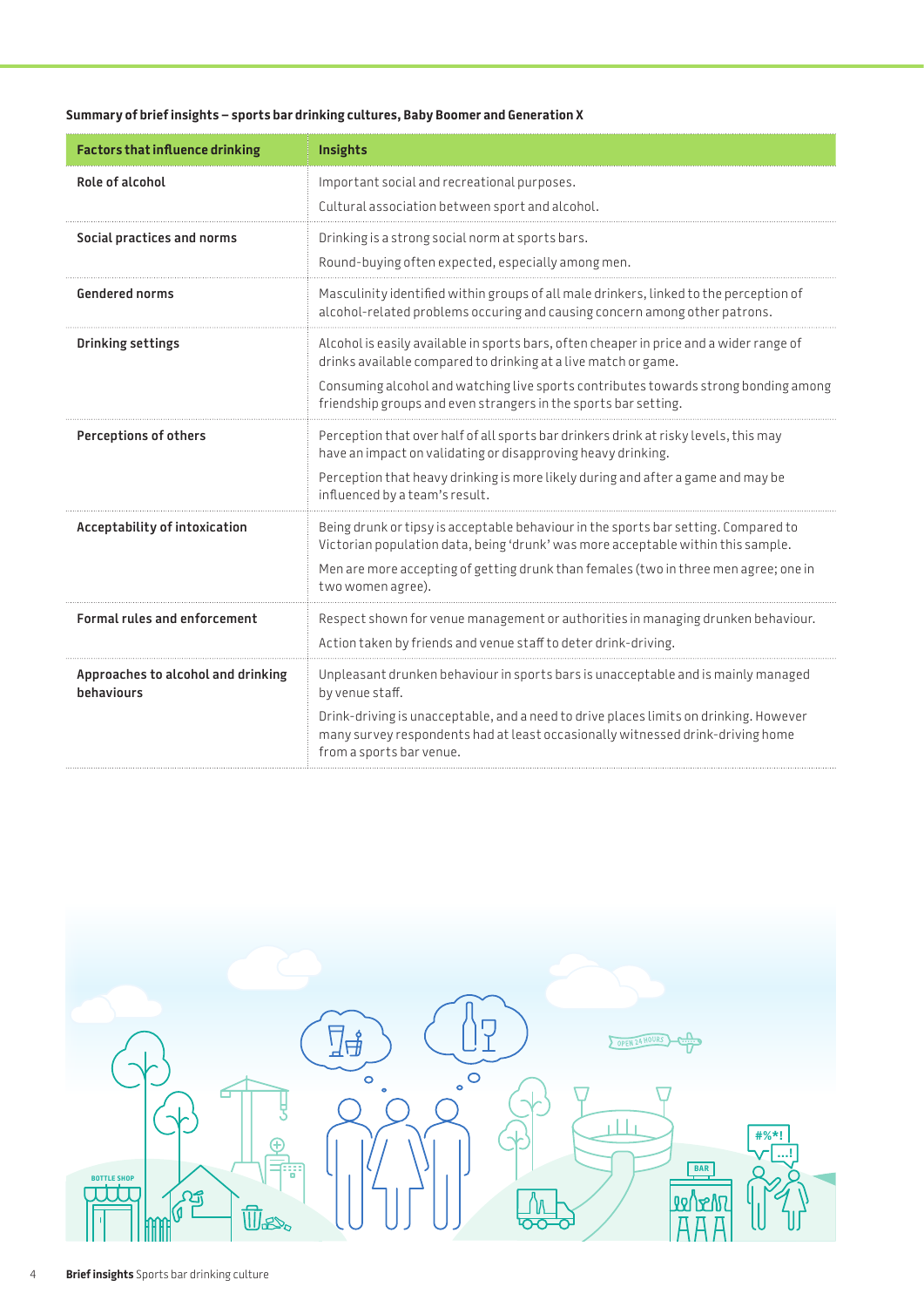#### **Summary of brief insights – sports bar drinking cultures, Baby Boomer and Generation X**

| <b>Factors that influence drinking</b>           | Insights                                                                                                                                                                                                                                                                                                            |
|--------------------------------------------------|---------------------------------------------------------------------------------------------------------------------------------------------------------------------------------------------------------------------------------------------------------------------------------------------------------------------|
| Role of alcohol                                  | Important social and recreational purposes.<br>Cultural association between sport and alcohol.                                                                                                                                                                                                                      |
| Social practices and norms                       | Drinking is a strong social norm at sports bars.<br>Round-buying often expected, especially among men.                                                                                                                                                                                                              |
| <b>Gendered norms</b>                            | Masculinity identified within groups of all male drinkers, linked to the perception of<br>alcohol-related problems occuring and causing concern among other patrons.                                                                                                                                                |
| Drinking settings                                | Alcohol is easily available in sports bars, often cheaper in price and a wider range of<br>drinks available compared to drinking at a live match or game.<br>Consuming alcohol and watching live sports contributes towards strong bonding among<br>friendship groups and even strangers in the sports bar setting. |
| Perceptions of others                            | Perception that over half of all sports bar drinkers drink at risky levels, this may<br>have an impact on validating or disapproving heavy drinking.<br>Perception that heavy drinking is more likely during and after a game and may be<br>influenced by a team's result.                                          |
| Acceptability of intoxication                    | Being drunk or tipsy is acceptable behaviour in the sports bar setting. Compared to<br>Victorian population data, being 'drunk' was more acceptable within this sample.<br>Men are more accepting of getting drunk than females (two in three men agree; one in<br>two women agree).                                |
| <b>Formal rules and enforcement</b>              | Respect shown for venue management or authorities in managing drunken behaviour.<br>Action taken by friends and venue staff to deter drink-driving.                                                                                                                                                                 |
| Approaches to alcohol and drinking<br>behaviours | Unpleasant drunken behaviour in sports bars is unacceptable and is mainly managed<br>by venue staff.<br>Drink-driving is unacceptable, and a need to drive places limits on drinking. However<br>many survey respondents had at least occasionally witnessed drink-driving home<br>from a sports bar venue.         |